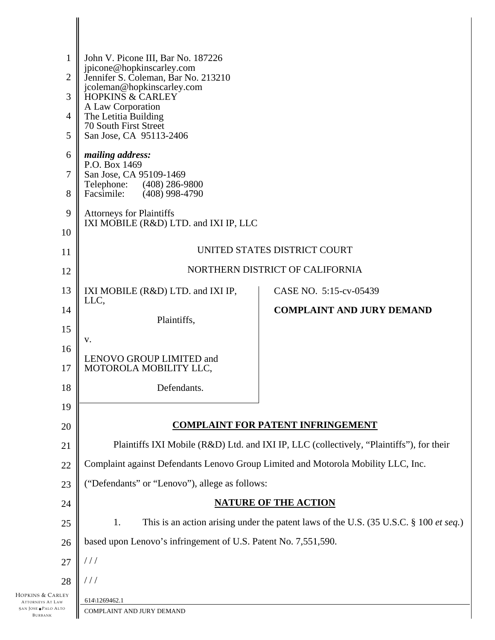| $\mathbf 1$<br>$\overline{2}$<br>$\overline{3}$<br>$\overline{4}$<br>5 | John V. Picone III, Bar No. 187226<br>jpicone@hopkinscarley.com<br>Jennifer S. Coleman, Bar No. 213210<br>jcoleman@hopkinscarley.com<br>HOPKINS & CARLEY<br>A Law Corporation<br>The Letitia Building<br>70 South First Street<br>San Jose, CA 95113-2406 |                                  |  |
|------------------------------------------------------------------------|-----------------------------------------------------------------------------------------------------------------------------------------------------------------------------------------------------------------------------------------------------------|----------------------------------|--|
| 6<br>7<br>8                                                            | mailing address:<br>P.O. Box 1469<br>San Jose, CA 95109-1469<br>Telephone:<br>(408) 286-9800<br>Facsimile:<br>$(408)$ 998-4790                                                                                                                            |                                  |  |
| 9<br>10                                                                | <b>Attorneys for Plaintiffs</b><br>IXI MOBILE (R&D) LTD. and IXI IP, LLC                                                                                                                                                                                  |                                  |  |
| 11                                                                     | UNITED STATES DISTRICT COURT                                                                                                                                                                                                                              |                                  |  |
| 12                                                                     | NORTHERN DISTRICT OF CALIFORNIA                                                                                                                                                                                                                           |                                  |  |
| 13                                                                     | IXI MOBILE (R&D) LTD. and IXI IP,<br>LLC,                                                                                                                                                                                                                 | CASE NO. 5:15-cv-05439           |  |
| 14                                                                     | Plaintiffs,                                                                                                                                                                                                                                               | <b>COMPLAINT AND JURY DEMAND</b> |  |
| 15                                                                     | V.                                                                                                                                                                                                                                                        |                                  |  |
| 16                                                                     | LENOVO GROUP LIMITED and                                                                                                                                                                                                                                  |                                  |  |
| 17                                                                     | MOTOROLA MOBILITY LLC,                                                                                                                                                                                                                                    |                                  |  |
| 18                                                                     | Defendants.                                                                                                                                                                                                                                               |                                  |  |
| 19                                                                     |                                                                                                                                                                                                                                                           |                                  |  |
| 20                                                                     | <b>COMPLAINT FOR PATENT INFRINGEMENT</b>                                                                                                                                                                                                                  |                                  |  |
| 21                                                                     | Plaintiffs IXI Mobile (R&D) Ltd. and IXI IP, LLC (collectively, "Plaintiffs"), for their                                                                                                                                                                  |                                  |  |
| 22                                                                     | Complaint against Defendants Lenovo Group Limited and Motorola Mobility LLC, Inc.                                                                                                                                                                         |                                  |  |
| 23                                                                     | ("Defendants" or "Lenovo"), allege as follows:                                                                                                                                                                                                            |                                  |  |
| 24                                                                     | <b>NATURE OF THE ACTION</b>                                                                                                                                                                                                                               |                                  |  |
| 25                                                                     | This is an action arising under the patent laws of the U.S. (35 U.S.C. § 100 et seq.)<br>1.                                                                                                                                                               |                                  |  |
| 26                                                                     | based upon Lenovo's infringement of U.S. Patent No. 7,551,590.                                                                                                                                                                                            |                                  |  |
| 27                                                                     | $\frac{1}{2}$                                                                                                                                                                                                                                             |                                  |  |
| 28                                                                     | $\frac{1}{2}$                                                                                                                                                                                                                                             |                                  |  |
| HOPKINS & CARLEY<br><b>ATTORNEYS AT LAW</b>                            | 614\1269462.1                                                                                                                                                                                                                                             |                                  |  |

ATTORNEYS AT 1 SAN JOSE PALO ALTO BURBANK  $\overline{\phantom{a}}$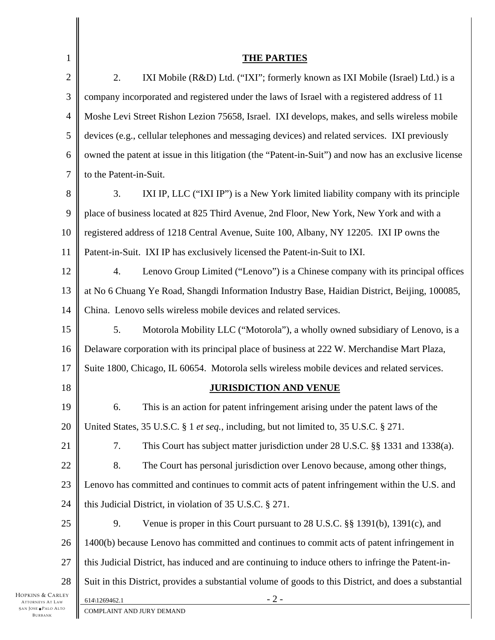| 1                                                                   | <u>THE PARTIES</u>                                                                                     |  |
|---------------------------------------------------------------------|--------------------------------------------------------------------------------------------------------|--|
| 2                                                                   | 2.<br>IXI Mobile (R&D) Ltd. ("IXI"; formerly known as IXI Mobile (Israel) Ltd.) is a                   |  |
| 3                                                                   | company incorporated and registered under the laws of Israel with a registered address of 11           |  |
| 4                                                                   | Moshe Levi Street Rishon Lezion 75658, Israel. IXI develops, makes, and sells wireless mobile          |  |
| 5                                                                   | devices (e.g., cellular telephones and messaging devices) and related services. IXI previously         |  |
| 6                                                                   | owned the patent at issue in this litigation (the "Patent-in-Suit") and now has an exclusive license   |  |
| 7                                                                   | to the Patent-in-Suit.                                                                                 |  |
| 8                                                                   | 3.<br>IXI IP, LLC ("IXI IP") is a New York limited liability company with its principle                |  |
| 9                                                                   | place of business located at 825 Third Avenue, 2nd Floor, New York, New York and with a                |  |
| 10                                                                  | registered address of 1218 Central Avenue, Suite 100, Albany, NY 12205. IXI IP owns the                |  |
| 11                                                                  | Patent-in-Suit. IXI IP has exclusively licensed the Patent-in-Suit to IXI.                             |  |
| 12                                                                  | 4.<br>Lenovo Group Limited ("Lenovo") is a Chinese company with its principal offices                  |  |
| 13                                                                  | at No 6 Chuang Ye Road, Shangdi Information Industry Base, Haidian District, Beijing, 100085,          |  |
| 14                                                                  | China. Lenovo sells wireless mobile devices and related services.                                      |  |
| 15                                                                  | 5.<br>Motorola Mobility LLC ("Motorola"), a wholly owned subsidiary of Lenovo, is a                    |  |
| 16                                                                  | Delaware corporation with its principal place of business at 222 W. Merchandise Mart Plaza,            |  |
| 17                                                                  | Suite 1800, Chicago, IL 60654. Motorola sells wireless mobile devices and related services.            |  |
|                                                                     |                                                                                                        |  |
| 18                                                                  | <b>JURISDICTION AND VENUE</b>                                                                          |  |
| 19                                                                  | This is an action for patent infringement arising under the patent laws of the<br>6.                   |  |
| 20                                                                  | United States, 35 U.S.C. § 1 et seq., including, but not limited to, 35 U.S.C. § 271.                  |  |
| 21                                                                  | 7.<br>This Court has subject matter jurisdiction under 28 U.S.C. §§ 1331 and 1338(a).                  |  |
| $22\,$                                                              | 8.<br>The Court has personal jurisdiction over Lenovo because, among other things,                     |  |
| 23                                                                  | Lenovo has committed and continues to commit acts of patent infringement within the U.S. and           |  |
| 24                                                                  | this Judicial District, in violation of 35 U.S.C. § 271.                                               |  |
| $25\,$                                                              | Venue is proper in this Court pursuant to 28 U.S.C. §§ 1391(b), 1391(c), and<br>9.                     |  |
| 26                                                                  | 1400(b) because Lenovo has committed and continues to commit acts of patent infringement in            |  |
| 27                                                                  | this Judicial District, has induced and are continuing to induce others to infringe the Patent-in-     |  |
| 28                                                                  | Suit in this District, provides a substantial volume of goods to this District, and does a substantial |  |
| HOPKINS & CARLEY<br><b>ATTORNEYS AT LAW</b><br>SAN JOSE · PALO ALTO | $-2-$<br>614\1269462.1<br>COMPLAINT AND JURY DEMAND                                                    |  |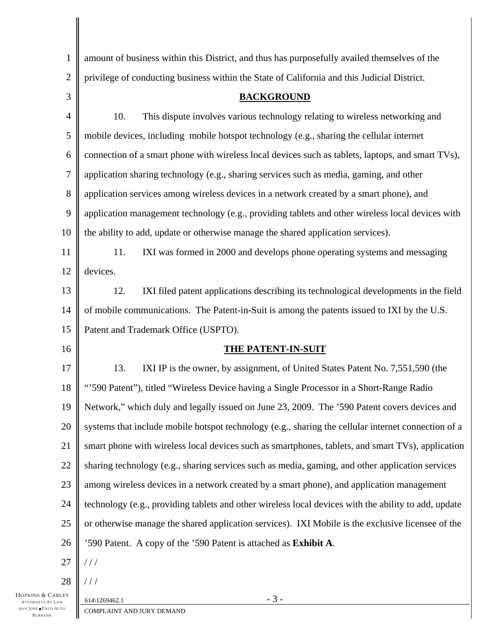| $\mathbf{1}$             | amount of business within this District, and thus has purposefully availed themselves of the         |  |
|--------------------------|------------------------------------------------------------------------------------------------------|--|
| $\overline{2}$           | privilege of conducting business within the State of California and this Judicial District.          |  |
| 3                        | <b>BACKGROUND</b>                                                                                    |  |
| $\overline{\mathcal{A}}$ | This dispute involves various technology relating to wireless networking and<br>10.                  |  |
| 5                        | mobile devices, including mobile hotspot technology (e.g., sharing the cellular internet             |  |
| 6                        | connection of a smart phone with wireless local devices such as tablets, laptops, and smart TVs),    |  |
| $\overline{7}$           | application sharing technology (e.g., sharing services such as media, gaming, and other              |  |
| 8                        | application services among wireless devices in a network created by a smart phone), and              |  |
| $\overline{9}$           | application management technology (e.g., providing tablets and other wireless local devices with     |  |
| 10                       | the ability to add, update or otherwise manage the shared application services).                     |  |
| 11                       | IXI was formed in 2000 and develops phone operating systems and messaging<br>11.                     |  |
| 12                       | devices.                                                                                             |  |
| 13                       | IXI filed patent applications describing its technological developments in the field<br>12.          |  |
| 14                       | of mobile communications. The Patent-in-Suit is among the patents issued to IXI by the U.S.          |  |
| 15                       | Patent and Trademark Office (USPTO).                                                                 |  |
| 16                       | <b>THE PATENT-IN-SUIT</b>                                                                            |  |
| 17                       | IXI IP is the owner, by assignment, of United States Patent No. 7,551,590 (the<br>13.                |  |
| 18                       | "590 Patent"), titled "Wireless Device having a Single Processor in a Short-Range Radio              |  |
| 19                       | Network," which duly and legally issued on June 23, 2009. The '590 Patent covers devices and         |  |
| 20                       | systems that include mobile hotspot technology (e.g., sharing the cellular internet connection of a  |  |
| 21                       | smart phone with wireless local devices such as smartphones, tablets, and smart TVs), application    |  |
| 22                       | sharing technology (e.g., sharing services such as media, gaming, and other application services     |  |
| 23                       | among wireless devices in a network created by a smart phone), and application management            |  |
| 24                       | technology (e.g., providing tablets and other wireless local devices with the ability to add, update |  |
| 25                       | or otherwise manage the shared application services). IXI Mobile is the exclusive licensee of the    |  |
| 26                       | '590 Patent. A copy of the '590 Patent is attached as Exhibit A.                                     |  |
| 27                       | 111                                                                                                  |  |
| 28                       | 111                                                                                                  |  |
| RLEY                     | $-3-$<br>614\1269462.1                                                                               |  |

HOPKINS & CA ATTORNEYS AT L. SAN JOSE  $\blacklozenge$ Palo A BURBANK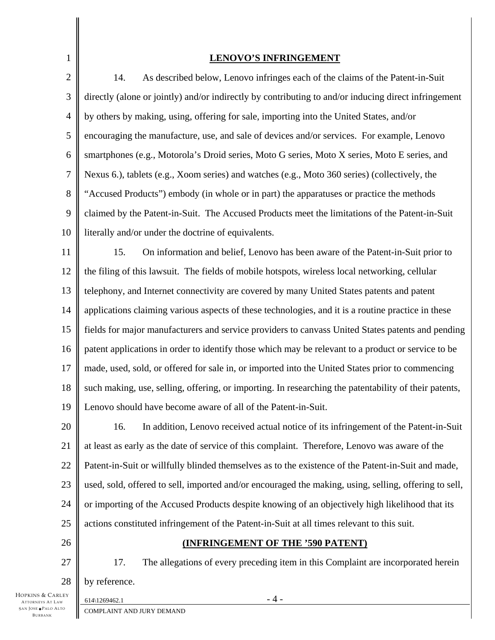| 1              | <b>LENOVO'S INFRINGEMENT</b>                                                                          |  |
|----------------|-------------------------------------------------------------------------------------------------------|--|
| $\overline{c}$ | As described below, Lenovo infringes each of the claims of the Patent-in-Suit<br>14.                  |  |
| 3              | directly (alone or jointly) and/or indirectly by contributing to and/or inducing direct infringement  |  |
| 4              | by others by making, using, offering for sale, importing into the United States, and/or               |  |
| 5              | encouraging the manufacture, use, and sale of devices and/or services. For example, Lenovo            |  |
| 6              | smartphones (e.g., Motorola's Droid series, Moto G series, Moto X series, Moto E series, and          |  |
| 7              | Nexus 6.), tablets (e.g., Xoom series) and watches (e.g., Moto 360 series) (collectively, the         |  |
| 8              | "Accused Products") embody (in whole or in part) the apparatuses or practice the methods              |  |
| 9              | claimed by the Patent-in-Suit. The Accused Products meet the limitations of the Patent-in-Suit        |  |
| 10             | literally and/or under the doctrine of equivalents.                                                   |  |
| 11             | 15.<br>On information and belief, Lenovo has been aware of the Patent-in-Suit prior to                |  |
| 12             | the filing of this lawsuit. The fields of mobile hotspots, wireless local networking, cellular        |  |
| 13             | telephony, and Internet connectivity are covered by many United States patents and patent             |  |
| 14             | applications claiming various aspects of these technologies, and it is a routine practice in these    |  |
| 15             | fields for major manufacturers and service providers to canvass United States patents and pending     |  |
| 16             | patent applications in order to identify those which may be relevant to a product or service to be    |  |
| 17             | made, used, sold, or offered for sale in, or imported into the United States prior to commencing      |  |
| 18             | such making, use, selling, offering, or importing. In researching the patentability of their patents, |  |
| 19             | Lenovo should have become aware of all of the Patent-in-Suit.                                         |  |
| 20             | In addition, Lenovo received actual notice of its infringement of the Patent-in-Suit<br>16.           |  |
| 21             | at least as early as the date of service of this complaint. Therefore, Lenovo was aware of the        |  |
| 22             | Patent-in-Suit or willfully blinded themselves as to the existence of the Patent-in-Suit and made,    |  |
| 23             | used, sold, offered to sell, imported and/or encouraged the making, using, selling, offering to sell, |  |
| 24             | or importing of the Accused Products despite knowing of an objectively high likelihood that its       |  |
| 25             | actions constituted infringement of the Patent-in-Suit at all times relevant to this suit.            |  |
| 26             | <b>(INFRINGEMENT OF THE '590 PATENT)</b>                                                              |  |
| 27             | 17.<br>The allegations of every preceding item in this Complaint are incorporated herein              |  |
| 28             | by reference.                                                                                         |  |
| RLEY           |                                                                                                       |  |

HOPKINS & CAI ATTORNEYS AT LAW SAN JOSE PALO ALTO BURBANK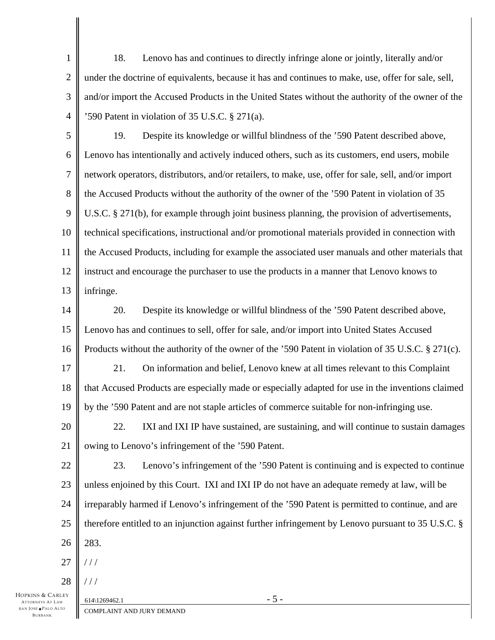1 2 3 4 18. Lenovo has and continues to directly infringe alone or jointly, literally and/or under the doctrine of equivalents, because it has and continues to make, use, offer for sale, sell, and/or import the Accused Products in the United States without the authority of the owner of the '590 Patent in violation of 35 U.S.C. § 271(a).

5 6 7 8 9 10 11 12 13 19. Despite its knowledge or willful blindness of the '590 Patent described above, Lenovo has intentionally and actively induced others, such as its customers, end users, mobile network operators, distributors, and/or retailers, to make, use, offer for sale, sell, and/or import the Accused Products without the authority of the owner of the '590 Patent in violation of 35 U.S.C. § 271(b), for example through joint business planning, the provision of advertisements, technical specifications, instructional and/or promotional materials provided in connection with the Accused Products, including for example the associated user manuals and other materials that instruct and encourage the purchaser to use the products in a manner that Lenovo knows to infringe.

14 15 16 20. Despite its knowledge or willful blindness of the '590 Patent described above, Lenovo has and continues to sell, offer for sale, and/or import into United States Accused Products without the authority of the owner of the '590 Patent in violation of 35 U.S.C. § 271(c).

17 18 19 21. On information and belief, Lenovo knew at all times relevant to this Complaint that Accused Products are especially made or especially adapted for use in the inventions claimed by the '590 Patent and are not staple articles of commerce suitable for non-infringing use.

20 21 22. IXI and IXI IP have sustained, are sustaining, and will continue to sustain damages owing to Lenovo's infringement of the '590 Patent.

22 23 24 25 26 23. Lenovo's infringement of the '590 Patent is continuing and is expected to continue unless enjoined by this Court. IXI and IXI IP do not have an adequate remedy at law, will be irreparably harmed if Lenovo's infringement of the '590 Patent is permitted to continue, and are therefore entitled to an injunction against further infringement by Lenovo pursuant to 35 U.S.C. § 283.

27  $//$ 

28  $//$ 

HOPKINS & CARLEY ATTORNEYS AT LAW SAN JOSE PALO ALTO BURBANK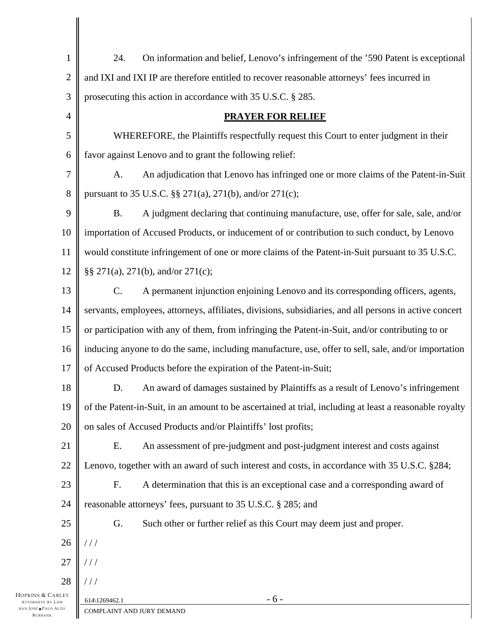| $\mathbf{1}$        | On information and belief, Lenovo's infringement of the '590 Patent is exceptional<br>24.               |  |
|---------------------|---------------------------------------------------------------------------------------------------------|--|
| $\overline{2}$      | and IXI and IXI IP are therefore entitled to recover reasonable attorneys' fees incurred in             |  |
| 3                   | prosecuting this action in accordance with 35 U.S.C. § 285.                                             |  |
| $\overline{4}$      | <b>PRAYER FOR RELIEF</b>                                                                                |  |
| 5                   | WHEREFORE, the Plaintiffs respectfully request this Court to enter judgment in their                    |  |
| 6                   | favor against Lenovo and to grant the following relief:                                                 |  |
| 7                   | An adjudication that Lenovo has infringed one or more claims of the Patent-in-Suit<br>A.                |  |
| 8                   | pursuant to 35 U.S.C. §§ 271(a), 271(b), and/or 271(c);                                                 |  |
| 9                   | A judgment declaring that continuing manufacture, use, offer for sale, sale, and/or<br><b>B.</b>        |  |
| 10                  | importation of Accused Products, or inducement of or contribution to such conduct, by Lenovo            |  |
| 11                  | would constitute infringement of one or more claims of the Patent-in-Suit pursuant to 35 U.S.C.         |  |
| 12                  | §§ 271(a), 271(b), and/or 271(c);                                                                       |  |
| 13                  | A permanent injunction enjoining Lenovo and its corresponding officers, agents,<br>$\mathbf{C}$ .       |  |
| 14                  | servants, employees, attorneys, affiliates, divisions, subsidiaries, and all persons in active concert  |  |
| 15                  | or participation with any of them, from infringing the Patent-in-Suit, and/or contributing to or        |  |
| 16                  | inducing anyone to do the same, including manufacture, use, offer to sell, sale, and/or importation     |  |
| 17                  | of Accused Products before the expiration of the Patent-in-Suit;                                        |  |
| 18                  | An award of damages sustained by Plaintiffs as a result of Lenovo's infringement<br>D.                  |  |
| 19                  | of the Patent-in-Suit, in an amount to be ascertained at trial, including at least a reasonable royalty |  |
| 20                  | on sales of Accused Products and/or Plaintiffs' lost profits;                                           |  |
| 21                  | Ε.<br>An assessment of pre-judgment and post-judgment interest and costs against                        |  |
| 22                  | Lenovo, together with an award of such interest and costs, in accordance with 35 U.S.C. §284;           |  |
| 23                  | F.<br>A determination that this is an exceptional case and a corresponding award of                     |  |
| 24                  | reasonable attorneys' fees, pursuant to 35 U.S.C. § 285; and                                            |  |
| 25                  | G.<br>Such other or further relief as this Court may deem just and proper.                              |  |
| 26                  | //                                                                                                      |  |
| 27                  | //                                                                                                      |  |
| 28                  | //                                                                                                      |  |
| RLEY<br>.AW<br>Alto | $-6-$<br>614\1269462.1<br>COMPLAINT AND JURY DEMAND                                                     |  |

HOPKINS & CAI ATTORNEYS AT LA SAN JOSE PALO ALTO BURBANK